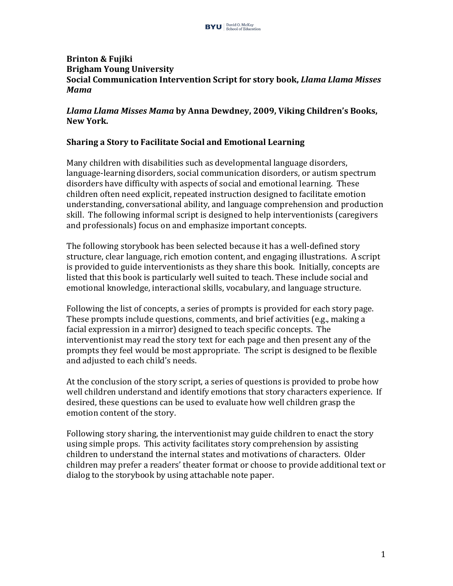### **Brinton & Fujiki Brigham Young University Social Communication Intervention Script for story book,** *Llama Llama Misses Mama*

### *Llama Llama Misses Mama* **by Anna Dewdney, 2009, Viking Children's Books,**  New York.

### **Sharing a Story to Facilitate Social and Emotional Learning**

Many children with disabilities such as developmental language disorders, language-learning disorders, social communication disorders, or autism spectrum disorders have difficulty with aspects of social and emotional learning. These children often need explicit, repeated instruction designed to facilitate emotion understanding, conversational ability, and language comprehension and production skill. The following informal script is designed to help interventionists (caregivers and professionals) focus on and emphasize important concepts.

The following storybook has been selected because it has a well-defined story structure, clear language, rich emotion content, and engaging illustrations. A script is provided to guide interventionists as they share this book. Initially, concepts are listed that this book is particularly well suited to teach. These include social and emotional knowledge, interactional skills, vocabulary, and language structure.

Following the list of concepts, a series of prompts is provided for each story page. These prompts include questions, comments, and brief activities (e.g., making a facial expression in a mirror) designed to teach specific concepts. The interventionist may read the story text for each page and then present any of the prompts they feel would be most appropriate. The script is designed to be flexible and adjusted to each child's needs.

At the conclusion of the story script, a series of questions is provided to probe how well children understand and identify emotions that story characters experience. If desired, these questions can be used to evaluate how well children grasp the emotion content of the story.

Following story sharing, the interventionist may guide children to enact the story using simple props. This activity facilitates story comprehension by assisting children to understand the internal states and motivations of characters. Older children may prefer a readers' theater format or choose to provide additional text or dialog to the storybook by using attachable note paper.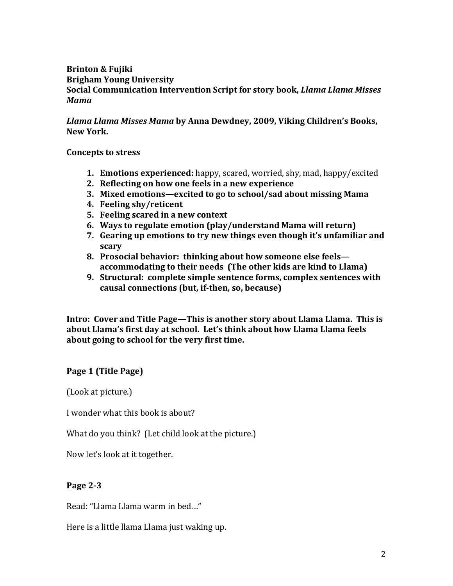### **Brinton & Fujiki Brigham Young University Social Communication Intervention Script for story book,** *Llama Llama Misses Mama*

*Llama Llama Misses Mama* **by Anna Dewdney, 2009, Viking Children's Books, New York.**

**Concepts to stress** 

- **1. Emotions experienced:** happy, scared, worried, shy, mad, happy/excited
- **2.** Reflecting on how one feels in a new experience
- **3. Mixed emotions—excited to go to school/sad about missing Mama**
- **4. Feeling shy/reticent**
- **5.** Feeling scared in a new context
- **6.** Ways to regulate emotion (play/understand Mama will return)
- **7.** Gearing up emotions to try new things even though it's unfamiliar and **scary**
- **8.** Prosocial behavior: thinking about how someone else feels accommodating to their needs (The other kids are kind to Llama)
- **9. Structural: complete simple sentence forms, complex sentences with** causal connections (but, if-then, so, because)

**Intro: Cover and Title Page—This is another story about Llama Llama. This is** about Llama's first day at school. Let's think about how Llama Llama feels about going to school for the very first time.

Page 1 (Title Page)

(Look at picture.)

I wonder what this book is about?

What do you think? (Let child look at the picture.)

Now let's look at it together.

#### **Page 2-3**

Read: "Llama Llama warm in bed..."

Here is a little llama Llama just waking up.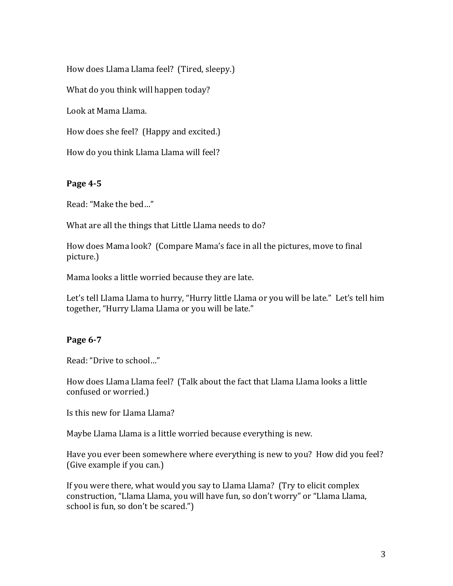How does Llama Llama feel? (Tired, sleepy.)

What do you think will happen today?

Look at Mama Llama.

How does she feel? (Happy and excited.)

How do you think Llama Llama will feel?

#### **Page 4-5**

Read: "Make the bed..."

What are all the things that Little Llama needs to do?

How does Mama look? (Compare Mama's face in all the pictures, move to final picture.) 

Mama looks a little worried because they are late.

Let's tell Llama Llama to hurry, "Hurry little Llama or you will be late." Let's tell him together, "Hurry Llama Llama or you will be late."

#### **Page 6-7**

Read: "Drive to school..."

How does Llama Llama feel? (Talk about the fact that Llama Llama looks a little confused or worried.)

Is this new for Llama Llama?

Maybe Llama Llama is a little worried because everything is new.

Have you ever been somewhere where everything is new to you? How did you feel? (Give example if you can.)

If you were there, what would you say to Llama Llama? (Try to elicit complex construction, "Llama Llama, you will have fun, so don't worry" or "Llama Llama, school is fun, so don't be scared.")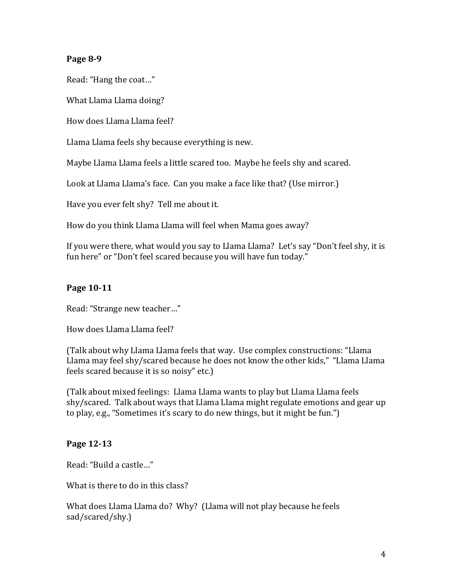### **Page 8-9**

Read: "Hang the coat..."

What Llama Llama doing?

How does Llama Llama feel?

Llama Llama feels shy because everything is new.

Maybe Llama Llama feels a little scared too. Maybe he feels shy and scared.

Look at Llama Llama's face. Can you make a face like that? (Use mirror.)

Have you ever felt shy? Tell me about it.

How do you think Llama Llama will feel when Mama goes away?

If you were there, what would you say to Llama Llama? Let's say "Don't feel shy, it is fun here" or "Don't feel scared because you will have fun today."

## **Page 10-11**

Read: "Strange new teacher..."

How does Llama Llama feel?

(Talk about why Llama Llama feels that way. Use complex constructions: "Llama Llama may feel shy/scared because he does not know the other kids," "Llama Llama feels scared because it is so noisy" etc.)

(Talk about mixed feelings: Llama Llama wants to play but Llama Llama feels shy/scared. Talk about ways that Llama Llama might regulate emotions and gear up to play, e.g., "Sometimes it's scary to do new things, but it might be fun.")

## **Page 12-13**

Read: "Build a castle..."

What is there to do in this class?

What does Llama Llama do? Why? (Llama will not play because he feels sad/scared/shy.)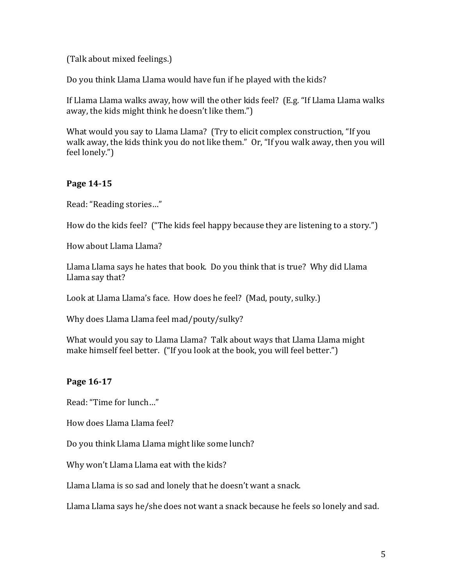(Talk about mixed feelings.)

Do you think Llama Llama would have fun if he played with the kids?

If Llama Llama walks away, how will the other kids feel? (E.g. "If Llama Llama walks away, the kids might think he doesn't like them.")

What would you say to Llama Llama? (Try to elicit complex construction, "If you walk away, the kids think you do not like them." Or, "If you walk away, then you will feel lonely.")

## **Page 14-15**

Read: "Reading stories..."

How do the kids feel? ("The kids feel happy because they are listening to a story.")

How about Llama Llama?

Llama Llama says he hates that book. Do you think that is true? Why did Llama Llama say that?

Look at Llama Llama's face. How does he feel? (Mad, pouty, sulky.)

Why does Llama Llama feel mad/pouty/sulky?

What would you say to Llama Llama? Talk about ways that Llama Llama might make himself feel better. ("If you look at the book, you will feel better.")

## **Page 16-17**

Read: "Time for lunch..."

How does Llama Llama feel?

Do you think Llama Llama might like some lunch?

Why won't Llama Llama eat with the kids?

Llama Llama is so sad and lonely that he doesn't want a snack.

Llama Llama says he/she does not want a snack because he feels so lonely and sad.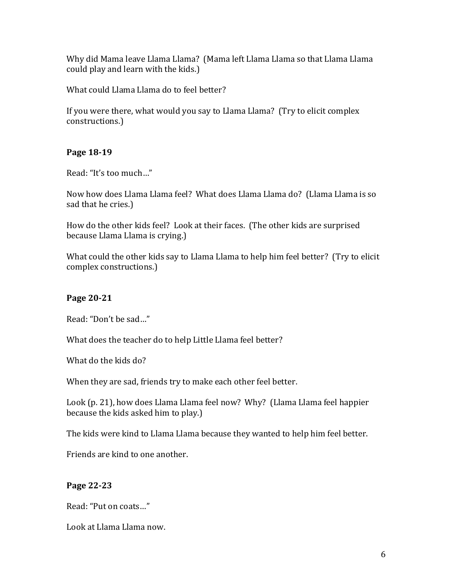Why did Mama leave Llama Llama? (Mama left Llama Llama so that Llama Llama could play and learn with the kids.)

What could Llama Llama do to feel better?

If you were there, what would you say to Llama Llama? (Try to elicit complex constructions.)

## **Page 18-19**

Read: "It's too much..."

Now how does Llama Llama feel? What does Llama Llama do? (Llama Llama is so sad that he cries.)

How do the other kids feel? Look at their faces. (The other kids are surprised because Llama Llama is crying.)

What could the other kids say to Llama Llama to help him feel better? (Try to elicit complex constructions.)

# **Page 20-21**

Read: "Don't be sad..."

What does the teacher do to help Little Llama feel better?

What do the kids do?

When they are sad, friends try to make each other feel better.

Look (p. 21), how does Llama Llama feel now? Why? (Llama Llama feel happier because the kids asked him to play.)

The kids were kind to Llama Llama because they wanted to help him feel better.

Friends are kind to one another.

## **Page 22-23**

Read: "Put on coats..."

Look at Llama Llama now.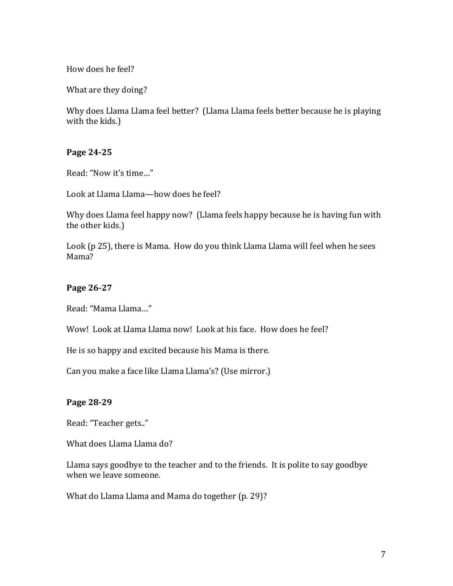How does he feel?

What are they doing?

Why does Llama Llama feel better? (Llama Llama feels better because he is playing with the kids.)

#### **Page 24-25**

Read: "Now it's time..."

Look at Llama Llama—how does he feel?

Why does Llama feel happy now? (Llama feels happy because he is having fun with the other kids.)

Look (p 25), there is Mama. How do you think Llama Llama will feel when he sees Mama?

#### **Page 26-27**

Read: "Mama Llama..."

Wow! Look at Llama Llama now! Look at his face. How does he feel?

He is so happy and excited because his Mama is there.

Can you make a face like Llama Llama's? (Use mirror.)

#### **Page 28-29**

Read: "Teacher gets.."

What does Llama Llama do?

Llama says goodbye to the teacher and to the friends. It is polite to say goodbye when we leave someone.

What do Llama Llama and Mama do together (p. 29)?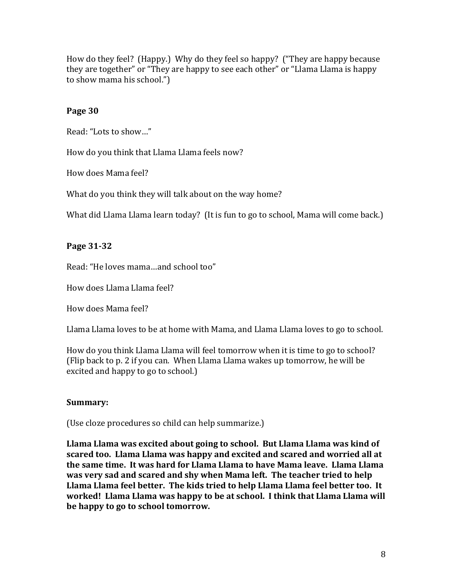How do they feel? (Happy.) Why do they feel so happy? ("They are happy because they are together" or "They are happy to see each other" or "Llama Llama is happy to show mama his school."

### **Page 30**

Read: "Lots to show..."

How do you think that Llama Llama feels now?

How does Mama feel?

What do you think they will talk about on the way home?

What did Llama Llama learn today? (It is fun to go to school, Mama will come back.)

## **Page 31-32**

Read: "He loves mama...and school too"

How does Llama Llama feel?

How does Mama feel?

Llama Llama loves to be at home with Mama, and Llama Llama loves to go to school.

How do you think Llama Llama will feel tomorrow when it is time to go to school? (Flip back to p. 2 if you can. When Llama Llama wakes up tomorrow, he will be excited and happy to go to school.)

## **Summary:**

(Use cloze procedures so child can help summarize.)

**Llama Llama was excited about going to school. But Llama Llama was kind of scared too. Llama Llama was happy and excited and scared and worried all at** the same time. It was hard for Llama Llama to have Mama leave. Llama Llama **was very sad and scared and shy when Mama left. The teacher tried to help** Llama Llama feel better. The kids tried to help Llama Llama feel better too. It **worked!** Llama Llama was happy to be at school. I think that Llama Llama will be happy to go to school tomorrow.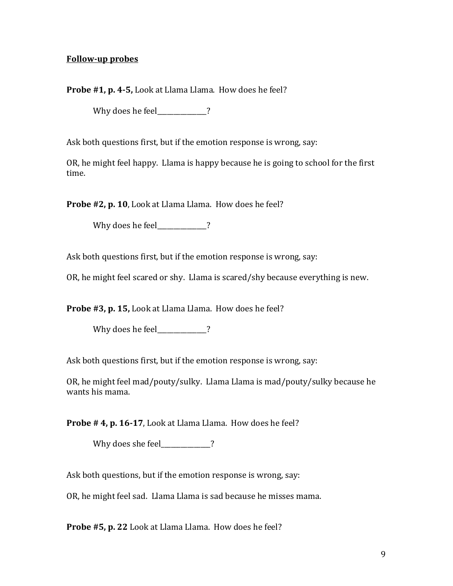#### **Follow-up probes**

**Probe #1, p. 4-5,** Look at Llama Llama. How does he feel?

Why does he feel\_\_\_\_\_\_\_\_\_\_\_\_?

Ask both questions first, but if the emotion response is wrong, say:

OR, he might feel happy. Llama is happy because he is going to school for the first time.

**Probe #2, p. 10**, Look at Llama Llama. How does he feel?

Why does he feel\_\_\_\_\_\_\_\_\_\_\_?

Ask both questions first, but if the emotion response is wrong, say:

OR, he might feel scared or shy. Llama is scared/shy because everything is new.

**Probe #3, p. 15,** Look at Llama Llama. How does he feel?

Why does he feel  $\overline{\phantom{a}}$  ?

Ask both questions first, but if the emotion response is wrong, say:

OR, he might feel mad/pouty/sulky. Llama Llama is mad/pouty/sulky because he wants his mama.

**Probe # 4, p. 16-17**, Look at Llama Llama. How does he feel?

Why does she feel 2

Ask both questions, but if the emotion response is wrong, say:

OR, he might feel sad. Llama Llama is sad because he misses mama.

**Probe #5, p. 22** Look at Llama Llama. How does he feel?